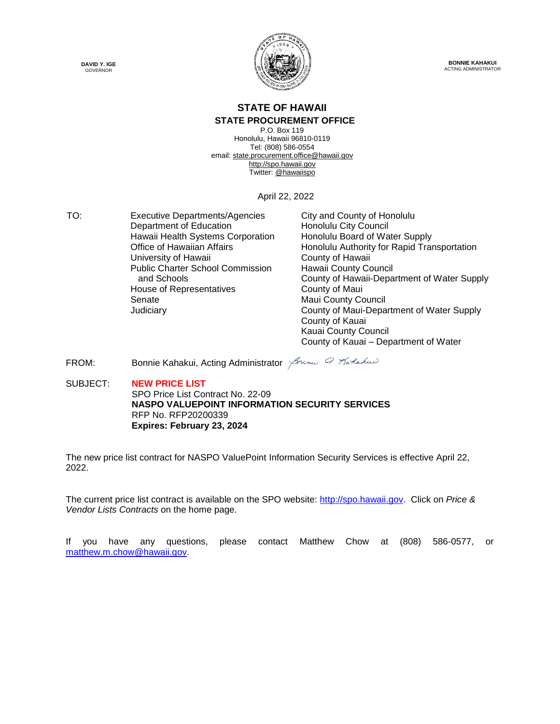



**BONNIE KAHAKUI** ACTING ADMINISTRATOR

#### **STATE OF HAWAII**

#### **STATE PROCUREMENT OFFICE**

P.O. Box 119 Honolulu, Hawaii 96810-0119 Tel: (808) 586-0554 email[: state.procurement.office@hawaii.gov](mailto:state.procurement.office@hawaii.gov) [http://spo.hawaii.gov](http://spo.hawaii.gov/) Twitter: [@hawaiispo](https://twitter.com/hawaiispo)

April 22, 2022

TO: Executive Departments/Agencies City and County of Honolulu<br>Department of Education Honolulu City Council Department of Education Hawaii Health Systems Corporation Honolulu Board of Water Supply University of Hawaii **County of Hawaii** County of Hawaii Public Charter School Commission and Schools House of Representatives **County of Maui** Senate Maui County Council

Office of Hawaiian Affairs **Honolulu Authority for Rapid Transportation** Hawaii County Council County of Hawaii-Department of Water Supply Judiciary County of Maui-Department of Water Supply County of Kauai Kauai County Council County of Kauai – Department of Water

FROM: Bonnie Kahakui, Acting Administrator Strang & Tarlakus

SUBJECT: **NEW PRICE LIST** SPO Price List Contract No. 22-09 **NASPO VALUEPOINT INFORMATION SECURITY SERVICES** RFP No. RFP20200339 **Expires: February 23, 2024**

The new price list contract for NASPO ValuePoint Information Security Services is effective April 22, 2022.

The current price list contract is available on the SPO website: [http://spo.hawaii.gov.](http://spo.hawaii.gov/) Click on *Price & Vendor Lists Contracts* on the home page.

If you have any questions, please contact Matthew Chow at (808) 586-0577, or [matthew.m.chow@hawaii.gov.](mailto:matthew.m.chow@hawaii.gov)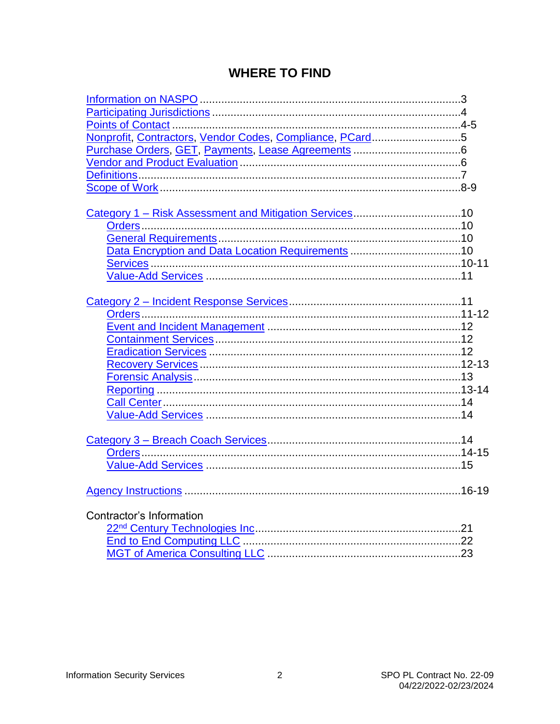#### **WHERE TO FIND**

| Nonprofit, Contractors, Vendor Codes, Compliance, PCard5 |  |
|----------------------------------------------------------|--|
|                                                          |  |
|                                                          |  |
|                                                          |  |
|                                                          |  |
|                                                          |  |
|                                                          |  |
|                                                          |  |
|                                                          |  |
|                                                          |  |
|                                                          |  |
|                                                          |  |
|                                                          |  |
|                                                          |  |
|                                                          |  |
|                                                          |  |
|                                                          |  |
|                                                          |  |
|                                                          |  |
|                                                          |  |
|                                                          |  |
|                                                          |  |
|                                                          |  |
|                                                          |  |
|                                                          |  |
|                                                          |  |
|                                                          |  |
|                                                          |  |
|                                                          |  |
|                                                          |  |
| Contractor's Information                                 |  |
|                                                          |  |
|                                                          |  |
|                                                          |  |
|                                                          |  |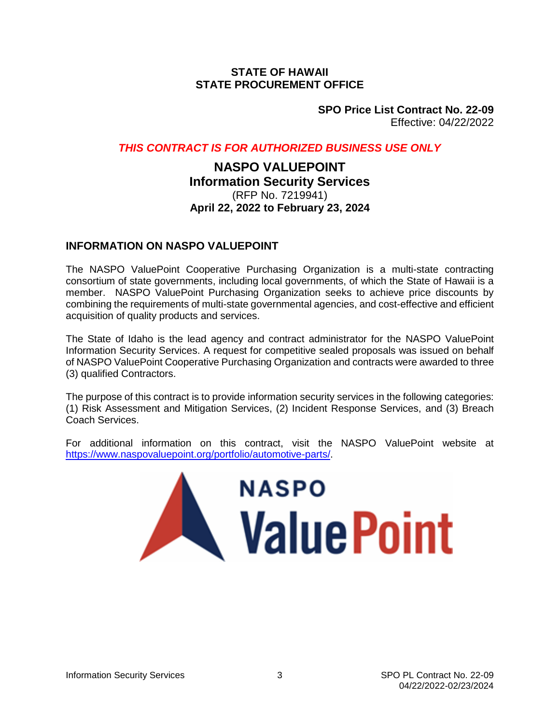#### **STATE OF HAWAII STATE PROCUREMENT OFFICE**

**SPO Price List Contract No. 22-09** Effective: 04/22/2022

#### <span id="page-2-0"></span>*THIS CONTRACT IS FOR AUTHORIZED BUSINESS USE ONLY*

#### **NASPO VALUEPOINT Information Security Services** (RFP No. 7219941) **April 22, 2022 to February 23, 2024**

#### **INFORMATION ON NASPO VALUEPOINT**

The NASPO ValuePoint Cooperative Purchasing Organization is a multi-state contracting consortium of state governments, including local governments, of which the State of Hawaii is a member. NASPO ValuePoint Purchasing Organization seeks to achieve price discounts by combining the requirements of multi-state governmental agencies, and cost-effective and efficient acquisition of quality products and services.

The State of Idaho is the lead agency and contract administrator for the NASPO ValuePoint Information Security Services. A request for competitive sealed proposals was issued on behalf of NASPO ValuePoint Cooperative Purchasing Organization and contracts were awarded to three (3) qualified Contractors.

The purpose of this contract is to provide information security services in the following categories: (1) Risk Assessment and Mitigation Services, (2) Incident Response Services, and (3) Breach Coach Services.

For additional information on this contract, visit the NASPO ValuePoint website at [https://www.naspovaluepoint.org/portfolio/automotive-parts/.](https://www.naspovaluepoint.org/portfolio/automotive-parts/)

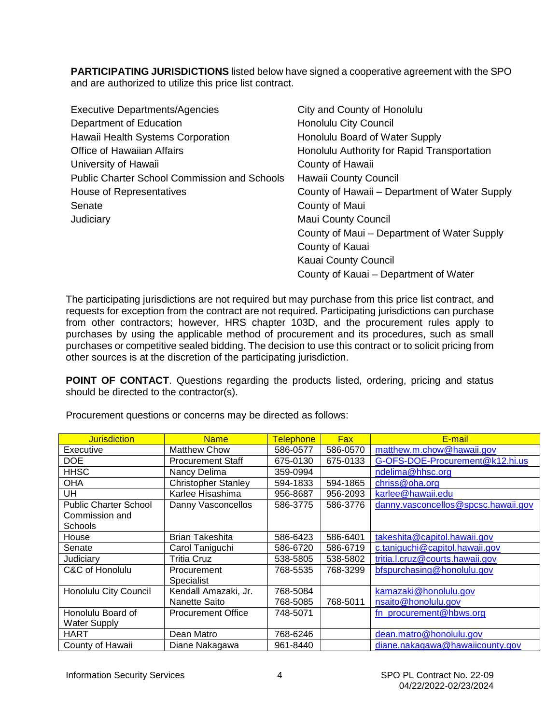<span id="page-3-0"></span>**PARTICIPATING JURISDICTIONS** listed below have signed a cooperative agreement with the SPO and are authorized to utilize this price list contract.

| <b>Executive Departments/Agencies</b>               | City and County of Honolulu                   |
|-----------------------------------------------------|-----------------------------------------------|
| Department of Education                             | <b>Honolulu City Council</b>                  |
| Hawaii Health Systems Corporation                   | Honolulu Board of Water Supply                |
| <b>Office of Hawaiian Affairs</b>                   | Honolulu Authority for Rapid Transportation   |
| University of Hawaii                                | County of Hawaii                              |
| <b>Public Charter School Commission and Schools</b> | Hawaii County Council                         |
| House of Representatives                            | County of Hawaii – Department of Water Supply |
| Senate                                              | County of Maui                                |
| Judiciary                                           | <b>Maui County Council</b>                    |
|                                                     | County of Maui – Department of Water Supply   |
|                                                     | County of Kauai                               |
|                                                     | Kauai County Council                          |
|                                                     | County of Kauai – Department of Water         |

The participating jurisdictions are not required but may purchase from this price list contract, and requests for exception from the contract are not required. Participating jurisdictions can purchase from other contractors; however, HRS chapter 103D, and the procurement rules apply to purchases by using the applicable method of procurement and its procedures, such as small purchases or competitive sealed bidding. The decision to use this contract or to solicit pricing from other sources is at the discretion of the participating jurisdiction.

**POINT OF CONTACT**. Questions regarding the products listed, ordering, pricing and status should be directed to the contractor(s).

| <b>Jurisdiction</b>          | <b>Name</b>                | Telephone | <b>Fax</b> | E-mail                              |
|------------------------------|----------------------------|-----------|------------|-------------------------------------|
| Executive                    | <b>Matthew Chow</b>        | 586-0577  | 586-0570   | matthew.m.chow@hawaii.gov           |
| <b>DOE</b>                   | <b>Procurement Staff</b>   | 675-0130  | 675-0133   | G-OFS-DOE-Procurement@k12.hi.us     |
| <b>HHSC</b>                  | Nancy Delima               | 359-0994  |            | ndelima@hhsc.org                    |
| <b>OHA</b>                   | <b>Christopher Stanley</b> | 594-1833  | 594-1865   | chriss@oha.org                      |
| UH                           | Karlee Hisashima           | 956-8687  | 956-2093   | karlee@hawaii.edu                   |
| <b>Public Charter School</b> | Danny Vasconcellos         | 586-3775  | 586-3776   | danny.vasconcellos@spcsc.hawaii.gov |
| Commission and               |                            |           |            |                                     |
| Schools                      |                            |           |            |                                     |
| House                        | <b>Brian Takeshita</b>     | 586-6423  | 586-6401   | takeshita@capitol.hawaii.gov        |
| Senate                       | Carol Taniguchi            | 586-6720  | 586-6719   | c.taniguchi@capitol.hawaii.gov      |
| Judiciary                    | Tritia Cruz                | 538-5805  | 538-5802   | tritia.l.cruz@courts.hawaii.gov     |
| C&C of Honolulu              | Procurement                | 768-5535  | 768-3299   | bfspurchasing@honolulu.gov          |
|                              | Specialist                 |           |            |                                     |
| <b>Honolulu City Council</b> | Kendall Amazaki, Jr.       | 768-5084  |            | kamazaki@honolulu.gov               |
|                              | Nanette Saito              | 768-5085  | 768-5011   | nsaito@honolulu.gov                 |
| Honolulu Board of            | <b>Procurement Office</b>  | 748-5071  |            | fn_procurement@hbws.org             |
| <b>Water Supply</b>          |                            |           |            |                                     |
| <b>HART</b>                  | Dean Matro                 | 768-6246  |            | dean.matro@honolulu.gov             |
| County of Hawaii             | Diane Nakagawa             | 961-8440  |            | diane.nakagawa@hawaiicounty.gov     |

Procurement questions or concerns may be directed as follows: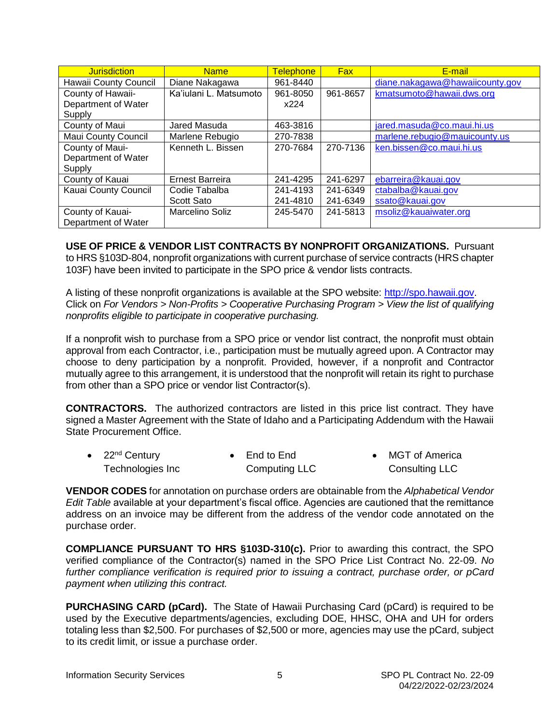<span id="page-4-0"></span>

| <b>Jurisdiction</b>        | <b>Name</b>            | <b>Telephone</b> | Fax      | E-mail                          |
|----------------------------|------------------------|------------------|----------|---------------------------------|
| Hawaii County Council      | Diane Nakagawa         | 961-8440         |          | diane.nakagawa@hawaiicounty.gov |
| County of Hawaii-          | Ka'iulani L. Matsumoto | 961-8050         | 961-8657 | kmatsumoto@hawaii.dws.org       |
| Department of Water        |                        | x224             |          |                                 |
| Supply                     |                        |                  |          |                                 |
| County of Maui             | Jared Masuda           | 463-3816         |          | jared.masuda@co.maui.hi.us      |
| <b>Maui County Council</b> | Marlene Rebugio        | 270-7838         |          | marlene.rebugio@mauicounty.us   |
| County of Maui-            | Kenneth L. Bissen      | 270-7684         | 270-7136 | ken.bissen@co.maui.hi.us        |
| Department of Water        |                        |                  |          |                                 |
| Supply                     |                        |                  |          |                                 |
| County of Kauai            | <b>Ernest Barreira</b> | 241-4295         | 241-6297 | ebarreira@kauai.gov             |
| Kauai County Council       | Codie Tabalba          | 241-4193         | 241-6349 | ctabalba@kauai.gov              |
|                            | Scott Sato             | 241-4810         | 241-6349 | ssato@kauai.gov                 |
| County of Kauai-           | Marcelino Soliz        | 245-5470         | 241-5813 | msoliz@kauaiwater.org           |
| Department of Water        |                        |                  |          |                                 |

**USE OF PRICE & VENDOR LIST CONTRACTS BY NONPROFIT ORGANIZATIONS.** Pursuant to HRS §103D-804, nonprofit organizations with current purchase of service contracts (HRS chapter 103F) have been invited to participate in the SPO price & vendor lists contracts.

A listing of these nonprofit organizations is available at the SPO website: [http://spo.hawaii.gov.](http://spo.hawaii.gov/) Click on *For Vendors > Non-Profits > Cooperative Purchasing Program > View the list of qualifying nonprofits eligible to participate in cooperative purchasing.*

If a nonprofit wish to purchase from a SPO price or vendor list contract, the nonprofit must obtain approval from each Contractor, i.e., participation must be mutually agreed upon. A Contractor may choose to deny participation by a nonprofit. Provided, however, if a nonprofit and Contractor mutually agree to this arrangement, it is understood that the nonprofit will retain its right to purchase from other than a SPO price or vendor list Contractor(s).

**CONTRACTORS.** The authorized contractors are listed in this price list contract. They have signed a Master Agreement with the State of Idaho and a Participating Addendum with the Hawaii State Procurement Office.

| • $22nd$ Century | $\bullet$ End to End | • MGT of America |
|------------------|----------------------|------------------|
| Technologies Inc | Computing LLC        | Consulting LLC   |

**VENDOR CODES** for annotation on purchase orders are obtainable from the *Alphabetical Vendor Edit Table* available at your department's fiscal office. Agencies are cautioned that the remittance address on an invoice may be different from the address of the vendor code annotated on the purchase order.

**COMPLIANCE PURSUANT TO HRS §103D-310(c).** Prior to awarding this contract, the SPO verified compliance of the Contractor(s) named in the SPO Price List Contract No. 22-09. *No further compliance verification is required prior to issuing a contract, purchase order, or pCard payment when utilizing this contract.*

**PURCHASING CARD (pCard).** The State of Hawaii Purchasing Card (pCard) is required to be used by the Executive departments/agencies, excluding DOE, HHSC, OHA and UH for orders totaling less than \$2,500. For purchases of \$2,500 or more, agencies may use the pCard, subject to its credit limit, or issue a purchase order.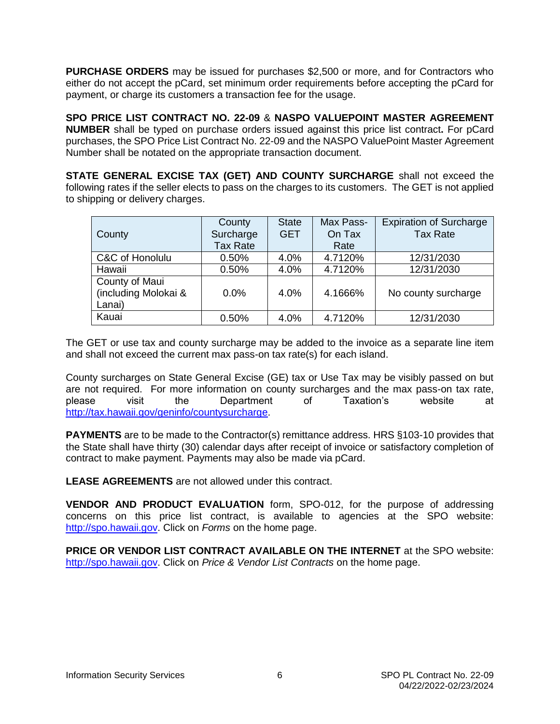<span id="page-5-0"></span>**PURCHASE ORDERS** may be issued for purchases \$2,500 or more, and for Contractors who either do not accept the pCard, set minimum order requirements before accepting the pCard for payment, or charge its customers a transaction fee for the usage.

**SPO PRICE LIST CONTRACT NO. 22-09** & **NASPO VALUEPOINT MASTER AGREEMENT NUMBER** shall be typed on purchase orders issued against this price list contract**.** For pCard purchases, the SPO Price List Contract No. 22-09 and the NASPO ValuePoint Master Agreement Number shall be notated on the appropriate transaction document.

**STATE GENERAL EXCISE TAX (GET) AND COUNTY SURCHARGE** shall not exceed the following rates if the seller elects to pass on the charges to its customers. The GET is not applied to shipping or delivery charges.

| County                                           | County<br>Surcharge<br><b>Tax Rate</b> | <b>State</b><br><b>GET</b> | Max Pass-<br>On Tax<br>Rate | <b>Expiration of Surcharge</b><br><b>Tax Rate</b> |
|--------------------------------------------------|----------------------------------------|----------------------------|-----------------------------|---------------------------------------------------|
| C&C of Honolulu                                  | 0.50%                                  | 4.0%                       | 4.7120%                     | 12/31/2030                                        |
| Hawaii                                           | 0.50%                                  | 4.0%                       | 4.7120%                     | 12/31/2030                                        |
| County of Maui<br>(including Molokai &<br>Lanai) | 0.0%                                   | 4.0%                       | 4.1666%                     | No county surcharge                               |
| Kauai                                            | 0.50%                                  | 4.0%                       | 4.7120%                     | 12/31/2030                                        |

The GET or use tax and county surcharge may be added to the invoice as a separate line item and shall not exceed the current max pass-on tax rate(s) for each island.

County surcharges on State General Excise (GE) tax or Use Tax may be visibly passed on but are not required. For more information on county surcharges and the max pass-on tax rate, please visit the Department of Taxation's website at [http://tax.hawaii.gov/geninfo/countysurcharge.](http://tax.hawaii.gov/geninfo/countysurcharge)

**PAYMENTS** are to be made to the Contractor(s) remittance address. HRS §103-10 provides that the State shall have thirty (30) calendar days after receipt of invoice or satisfactory completion of contract to make payment. Payments may also be made via pCard.

**LEASE AGREEMENTS** are not allowed under this contract.

**VENDOR AND PRODUCT EVALUATION** form, SPO-012, for the purpose of addressing concerns on this price list contract, is available to agencies at the SPO website: [http://spo.hawaii.gov.](http://spo.hawaii.gov/) Click on *Forms* on the home page.

**PRICE OR VENDOR LIST CONTRACT AVAILABLE ON THE INTERNET** at the SPO website: [http://spo.hawaii.gov.](http://spo.hawaii.gov/) Click on *Price & Vendor List Contracts* on the home page.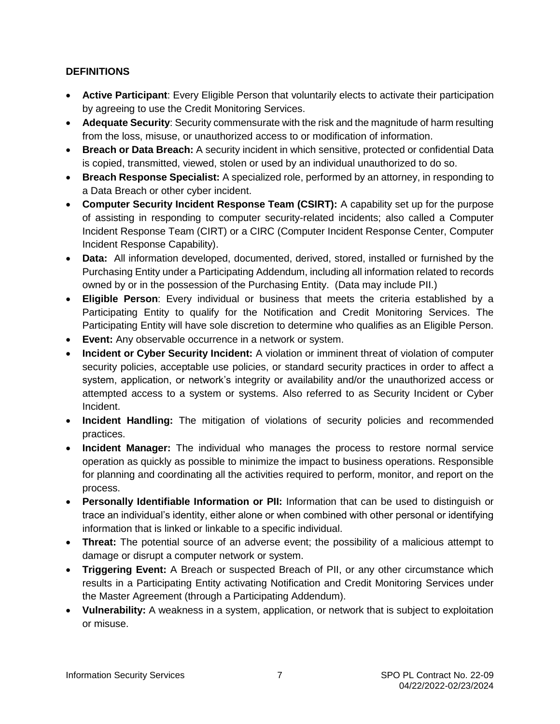#### <span id="page-6-0"></span>**DEFINITIONS**

- **Active Participant**: Every Eligible Person that voluntarily elects to activate their participation by agreeing to use the Credit Monitoring Services.
- **Adequate Security**: Security commensurate with the risk and the magnitude of harm resulting from the loss, misuse, or unauthorized access to or modification of information.
- **Breach or Data Breach:** A security incident in which sensitive, protected or confidential Data is copied, transmitted, viewed, stolen or used by an individual unauthorized to do so.
- **Breach Response Specialist:** A specialized role, performed by an attorney, in responding to a Data Breach or other cyber incident.
- **Computer Security Incident Response Team (CSIRT):** A capability set up for the purpose of assisting in responding to computer security-related incidents; also called a Computer Incident Response Team (CIRT) or a CIRC (Computer Incident Response Center, Computer Incident Response Capability).
- **Data:** All information developed, documented, derived, stored, installed or furnished by the Purchasing Entity under a Participating Addendum, including all information related to records owned by or in the possession of the Purchasing Entity. (Data may include PII.)
- **Eligible Person**: Every individual or business that meets the criteria established by a Participating Entity to qualify for the Notification and Credit Monitoring Services. The Participating Entity will have sole discretion to determine who qualifies as an Eligible Person.
- **Event:** Any observable occurrence in a network or system.
- **Incident or Cyber Security Incident:** A violation or imminent threat of violation of computer security policies, acceptable use policies, or standard security practices in order to affect a system, application, or network's integrity or availability and/or the unauthorized access or attempted access to a system or systems. Also referred to as Security Incident or Cyber Incident.
- **Incident Handling:** The mitigation of violations of security policies and recommended practices.
- **Incident Manager:** The individual who manages the process to restore normal service operation as quickly as possible to minimize the impact to business operations. Responsible for planning and coordinating all the activities required to perform, monitor, and report on the process.
- **Personally Identifiable Information or PII:** Information that can be used to distinguish or trace an individual's identity, either alone or when combined with other personal or identifying information that is linked or linkable to a specific individual.
- **Threat:** The potential source of an adverse event; the possibility of a malicious attempt to damage or disrupt a computer network or system.
- **Triggering Event:** A Breach or suspected Breach of PII, or any other circumstance which results in a Participating Entity activating Notification and Credit Monitoring Services under the Master Agreement (through a Participating Addendum).
- **Vulnerability:** A weakness in a system, application, or network that is subject to exploitation or misuse.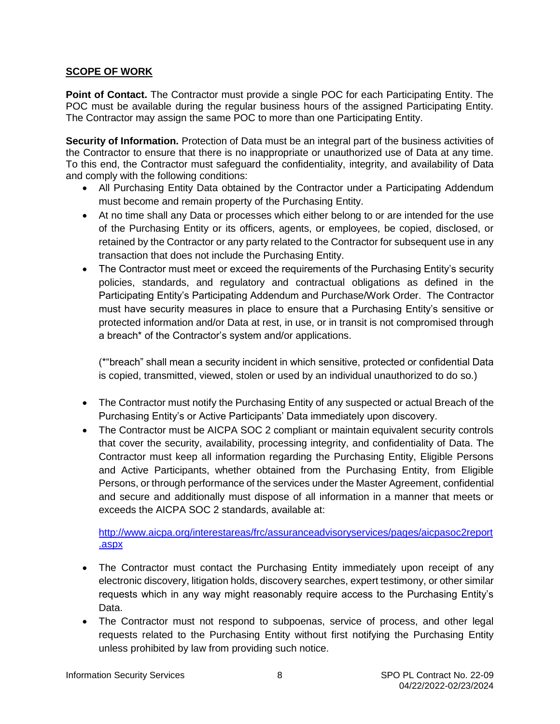#### <span id="page-7-0"></span>**SCOPE OF WORK**

**Point of Contact.** The Contractor must provide a single POC for each Participating Entity. The POC must be available during the regular business hours of the assigned Participating Entity. The Contractor may assign the same POC to more than one Participating Entity.

**Security of Information.** Protection of Data must be an integral part of the business activities of the Contractor to ensure that there is no inappropriate or unauthorized use of Data at any time. To this end, the Contractor must safeguard the confidentiality, integrity, and availability of Data and comply with the following conditions:

- All Purchasing Entity Data obtained by the Contractor under a Participating Addendum must become and remain property of the Purchasing Entity.
- At no time shall any Data or processes which either belong to or are intended for the use of the Purchasing Entity or its officers, agents, or employees, be copied, disclosed, or retained by the Contractor or any party related to the Contractor for subsequent use in any transaction that does not include the Purchasing Entity.
- The Contractor must meet or exceed the requirements of the Purchasing Entity's security policies, standards, and regulatory and contractual obligations as defined in the Participating Entity's Participating Addendum and Purchase/Work Order. The Contractor must have security measures in place to ensure that a Purchasing Entity's sensitive or protected information and/or Data at rest, in use, or in transit is not compromised through a breach\* of the Contractor's system and/or applications.

(\*"breach" shall mean a security incident in which sensitive, protected or confidential Data is copied, transmitted, viewed, stolen or used by an individual unauthorized to do so.)

- The Contractor must notify the Purchasing Entity of any suspected or actual Breach of the Purchasing Entity's or Active Participants' Data immediately upon discovery.
- The Contractor must be AICPA SOC 2 compliant or maintain equivalent security controls that cover the security, availability, processing integrity, and confidentiality of Data. The Contractor must keep all information regarding the Purchasing Entity, Eligible Persons and Active Participants, whether obtained from the Purchasing Entity, from Eligible Persons, or through performance of the services under the Master Agreement, confidential and secure and additionally must dispose of all information in a manner that meets or exceeds the AICPA SOC 2 standards, available at:

[http://www.aicpa.org/interestareas/frc/assuranceadvisoryservices/pages/aicpasoc2report](http://www.aicpa.org/interestareas/frc/assuranceadvisoryservices/pages/aicpasoc2report.aspx) [.aspx](http://www.aicpa.org/interestareas/frc/assuranceadvisoryservices/pages/aicpasoc2report.aspx)

- The Contractor must contact the Purchasing Entity immediately upon receipt of any electronic discovery, litigation holds, discovery searches, expert testimony, or other similar requests which in any way might reasonably require access to the Purchasing Entity's Data.
- The Contractor must not respond to subpoenas, service of process, and other legal requests related to the Purchasing Entity without first notifying the Purchasing Entity unless prohibited by law from providing such notice.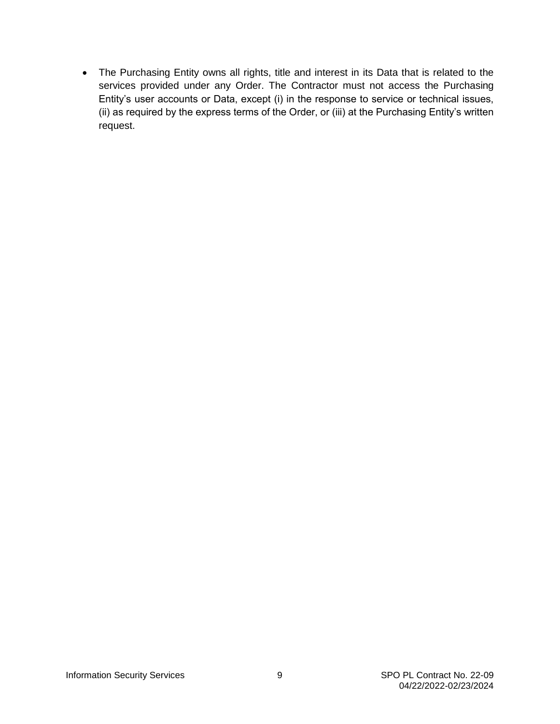The Purchasing Entity owns all rights, title and interest in its Data that is related to the services provided under any Order. The Contractor must not access the Purchasing Entity's user accounts or Data, except (i) in the response to service or technical issues, (ii) as required by the express terms of the Order, or (iii) at the Purchasing Entity's written request.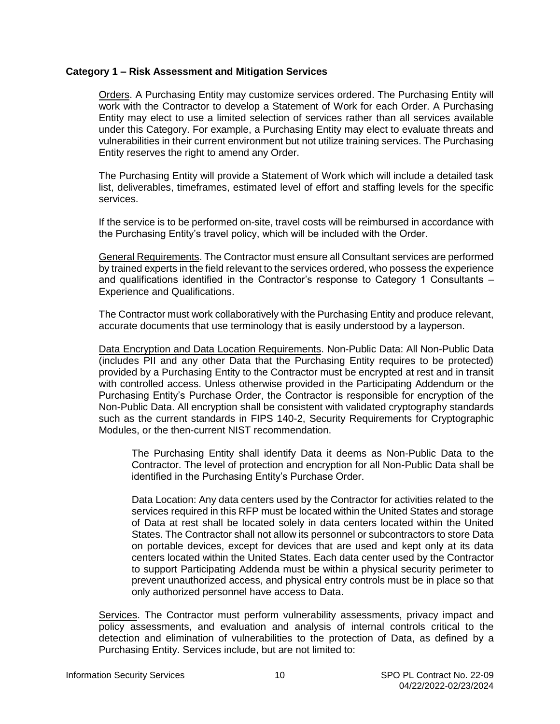#### <span id="page-9-0"></span>**Category 1 – Risk Assessment and Mitigation Services**

Orders. A Purchasing Entity may customize services ordered. The Purchasing Entity will work with the Contractor to develop a Statement of Work for each Order. A Purchasing Entity may elect to use a limited selection of services rather than all services available under this Category. For example, a Purchasing Entity may elect to evaluate threats and vulnerabilities in their current environment but not utilize training services. The Purchasing Entity reserves the right to amend any Order.

The Purchasing Entity will provide a Statement of Work which will include a detailed task list, deliverables, timeframes, estimated level of effort and staffing levels for the specific services.

If the service is to be performed on-site, travel costs will be reimbursed in accordance with the Purchasing Entity's travel policy, which will be included with the Order.

General Requirements. The Contractor must ensure all Consultant services are performed by trained experts in the field relevant to the services ordered, who possess the experience and qualifications identified in the Contractor's response to Category 1 Consultants – Experience and Qualifications.

The Contractor must work collaboratively with the Purchasing Entity and produce relevant, accurate documents that use terminology that is easily understood by a layperson.

Data Encryption and Data Location Requirements. Non-Public Data: All Non-Public Data (includes PII and any other Data that the Purchasing Entity requires to be protected) provided by a Purchasing Entity to the Contractor must be encrypted at rest and in transit with controlled access. Unless otherwise provided in the Participating Addendum or the Purchasing Entity's Purchase Order, the Contractor is responsible for encryption of the Non-Public Data. All encryption shall be consistent with validated cryptography standards such as the current standards in FIPS 140-2, Security Requirements for Cryptographic Modules, or the then-current NIST recommendation.

The Purchasing Entity shall identify Data it deems as Non-Public Data to the Contractor. The level of protection and encryption for all Non-Public Data shall be identified in the Purchasing Entity's Purchase Order.

Data Location: Any data centers used by the Contractor for activities related to the services required in this RFP must be located within the United States and storage of Data at rest shall be located solely in data centers located within the United States. The Contractor shall not allow its personnel or subcontractors to store Data on portable devices, except for devices that are used and kept only at its data centers located within the United States. Each data center used by the Contractor to support Participating Addenda must be within a physical security perimeter to prevent unauthorized access, and physical entry controls must be in place so that only authorized personnel have access to Data.

Services. The Contractor must perform vulnerability assessments, privacy impact and policy assessments, and evaluation and analysis of internal controls critical to the detection and elimination of vulnerabilities to the protection of Data, as defined by a Purchasing Entity. Services include, but are not limited to: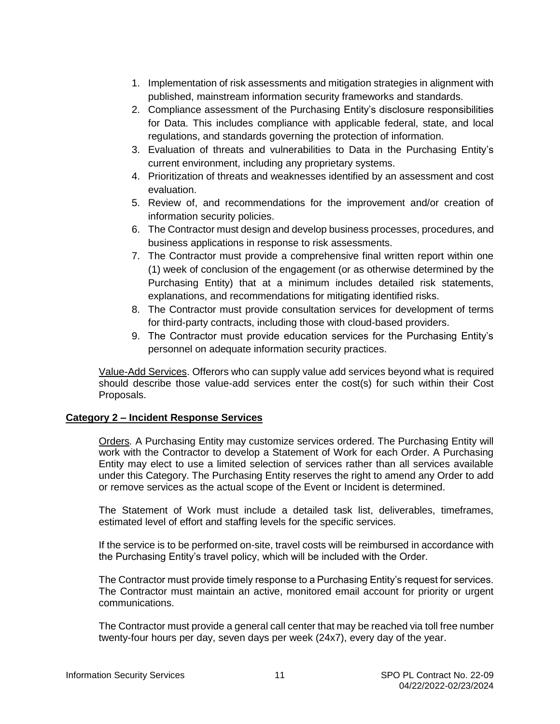- <span id="page-10-0"></span>1. Implementation of risk assessments and mitigation strategies in alignment with published, mainstream information security frameworks and standards.
- 2. Compliance assessment of the Purchasing Entity's disclosure responsibilities for Data. This includes compliance with applicable federal, state, and local regulations, and standards governing the protection of information.
- 3. Evaluation of threats and vulnerabilities to Data in the Purchasing Entity's current environment, including any proprietary systems.
- 4. Prioritization of threats and weaknesses identified by an assessment and cost evaluation.
- 5. Review of, and recommendations for the improvement and/or creation of information security policies.
- 6. The Contractor must design and develop business processes, procedures, and business applications in response to risk assessments.
- 7. The Contractor must provide a comprehensive final written report within one (1) week of conclusion of the engagement (or as otherwise determined by the Purchasing Entity) that at a minimum includes detailed risk statements, explanations, and recommendations for mitigating identified risks.
- 8. The Contractor must provide consultation services for development of terms for third-party contracts, including those with cloud-based providers.
- 9. The Contractor must provide education services for the Purchasing Entity's personnel on adequate information security practices.

Value-Add Services. Offerors who can supply value add services beyond what is required should describe those value-add services enter the cost(s) for such within their Cost Proposals.

#### **Category 2 – Incident Response Services**

Orders*.* A Purchasing Entity may customize services ordered. The Purchasing Entity will work with the Contractor to develop a Statement of Work for each Order. A Purchasing Entity may elect to use a limited selection of services rather than all services available under this Category. The Purchasing Entity reserves the right to amend any Order to add or remove services as the actual scope of the Event or Incident is determined.

The Statement of Work must include a detailed task list, deliverables, timeframes, estimated level of effort and staffing levels for the specific services.

If the service is to be performed on-site, travel costs will be reimbursed in accordance with the Purchasing Entity's travel policy, which will be included with the Order.

The Contractor must provide timely response to a Purchasing Entity's request for services. The Contractor must maintain an active, monitored email account for priority or urgent communications.

The Contractor must provide a general call center that may be reached via toll free number twenty-four hours per day, seven days per week (24x7), every day of the year.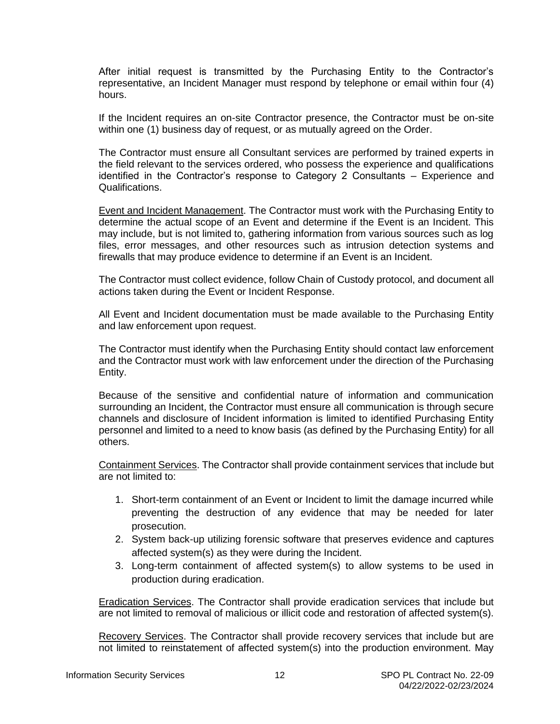<span id="page-11-0"></span>After initial request is transmitted by the Purchasing Entity to the Contractor's representative, an Incident Manager must respond by telephone or email within four (4) hours.

If the Incident requires an on-site Contractor presence, the Contractor must be on-site within one (1) business day of request, or as mutually agreed on the Order.

The Contractor must ensure all Consultant services are performed by trained experts in the field relevant to the services ordered, who possess the experience and qualifications identified in the Contractor's response to Category 2 Consultants – Experience and Qualifications.

Event and Incident Management. The Contractor must work with the Purchasing Entity to determine the actual scope of an Event and determine if the Event is an Incident. This may include, but is not limited to, gathering information from various sources such as log files, error messages, and other resources such as intrusion detection systems and firewalls that may produce evidence to determine if an Event is an Incident.

The Contractor must collect evidence, follow Chain of Custody protocol, and document all actions taken during the Event or Incident Response.

All Event and Incident documentation must be made available to the Purchasing Entity and law enforcement upon request.

The Contractor must identify when the Purchasing Entity should contact law enforcement and the Contractor must work with law enforcement under the direction of the Purchasing Entity.

Because of the sensitive and confidential nature of information and communication surrounding an Incident, the Contractor must ensure all communication is through secure channels and disclosure of Incident information is limited to identified Purchasing Entity personnel and limited to a need to know basis (as defined by the Purchasing Entity) for all others.

Containment Services. The Contractor shall provide containment services that include but are not limited to:

- 1. Short-term containment of an Event or Incident to limit the damage incurred while preventing the destruction of any evidence that may be needed for later prosecution.
- 2. System back-up utilizing forensic software that preserves evidence and captures affected system(s) as they were during the Incident.
- 3. Long-term containment of affected system(s) to allow systems to be used in production during eradication.

Eradication Services. The Contractor shall provide eradication services that include but are not limited to removal of malicious or illicit code and restoration of affected system(s).

Recovery Services. The Contractor shall provide recovery services that include but are not limited to reinstatement of affected system(s) into the production environment. May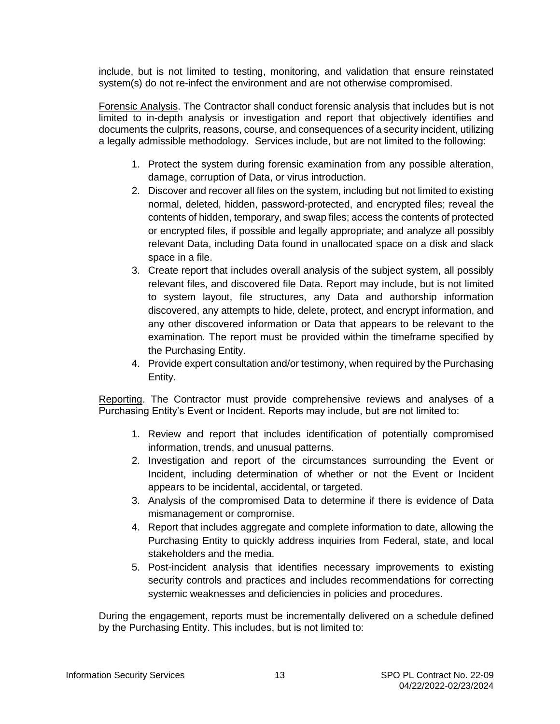<span id="page-12-0"></span>include, but is not limited to testing, monitoring, and validation that ensure reinstated system(s) do not re-infect the environment and are not otherwise compromised.

Forensic Analysis. The Contractor shall conduct forensic analysis that includes but is not limited to in-depth analysis or investigation and report that objectively identifies and documents the culprits, reasons, course, and consequences of a security incident, utilizing a legally admissible methodology. Services include, but are not limited to the following:

- 1. Protect the system during forensic examination from any possible alteration, damage, corruption of Data, or virus introduction.
- 2. Discover and recover all files on the system, including but not limited to existing normal, deleted, hidden, password-protected, and encrypted files; reveal the contents of hidden, temporary, and swap files; access the contents of protected or encrypted files, if possible and legally appropriate; and analyze all possibly relevant Data, including Data found in unallocated space on a disk and slack space in a file.
- 3. Create report that includes overall analysis of the subject system, all possibly relevant files, and discovered file Data. Report may include, but is not limited to system layout, file structures, any Data and authorship information discovered, any attempts to hide, delete, protect, and encrypt information, and any other discovered information or Data that appears to be relevant to the examination. The report must be provided within the timeframe specified by the Purchasing Entity.
- 4. Provide expert consultation and/or testimony, when required by the Purchasing Entity.

Reporting. The Contractor must provide comprehensive reviews and analyses of a Purchasing Entity's Event or Incident. Reports may include, but are not limited to:

- 1. Review and report that includes identification of potentially compromised information, trends, and unusual patterns.
- 2. Investigation and report of the circumstances surrounding the Event or Incident, including determination of whether or not the Event or Incident appears to be incidental, accidental, or targeted.
- 3. Analysis of the compromised Data to determine if there is evidence of Data mismanagement or compromise.
- 4. Report that includes aggregate and complete information to date, allowing the Purchasing Entity to quickly address inquiries from Federal, state, and local stakeholders and the media.
- 5. Post-incident analysis that identifies necessary improvements to existing security controls and practices and includes recommendations for correcting systemic weaknesses and deficiencies in policies and procedures.

During the engagement, reports must be incrementally delivered on a schedule defined by the Purchasing Entity. This includes, but is not limited to: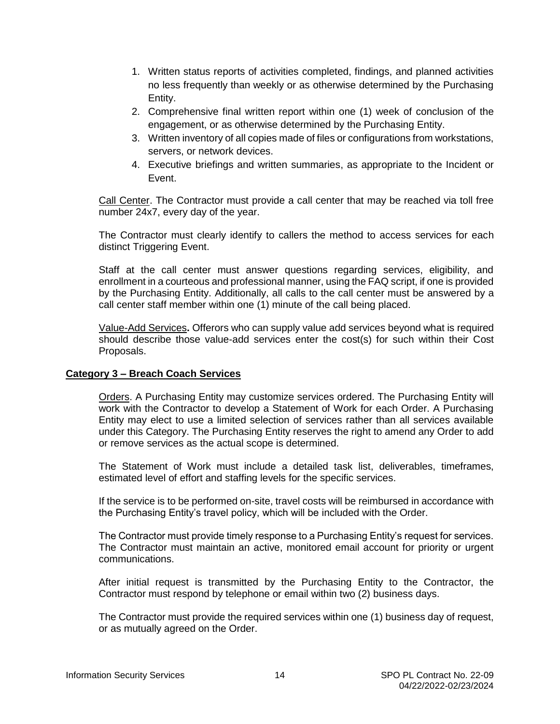- <span id="page-13-0"></span>1. Written status reports of activities completed, findings, and planned activities no less frequently than weekly or as otherwise determined by the Purchasing Entity.
- 2. Comprehensive final written report within one (1) week of conclusion of the engagement, or as otherwise determined by the Purchasing Entity.
- 3. Written inventory of all copies made of files or configurations from workstations, servers, or network devices.
- 4. Executive briefings and written summaries, as appropriate to the Incident or Event.

Call Center. The Contractor must provide a call center that may be reached via toll free number 24x7, every day of the year.

The Contractor must clearly identify to callers the method to access services for each distinct Triggering Event.

Staff at the call center must answer questions regarding services, eligibility, and enrollment in a courteous and professional manner, using the FAQ script, if one is provided by the Purchasing Entity. Additionally, all calls to the call center must be answered by a call center staff member within one (1) minute of the call being placed.

Value-Add Services**.** Offerors who can supply value add services beyond what is required should describe those value-add services enter the cost(s) for such within their Cost Proposals.

#### **Category 3 – Breach Coach Services**

Orders. A Purchasing Entity may customize services ordered. The Purchasing Entity will work with the Contractor to develop a Statement of Work for each Order. A Purchasing Entity may elect to use a limited selection of services rather than all services available under this Category. The Purchasing Entity reserves the right to amend any Order to add or remove services as the actual scope is determined.

The Statement of Work must include a detailed task list, deliverables, timeframes, estimated level of effort and staffing levels for the specific services.

If the service is to be performed on-site, travel costs will be reimbursed in accordance with the Purchasing Entity's travel policy, which will be included with the Order.

The Contractor must provide timely response to a Purchasing Entity's request for services. The Contractor must maintain an active, monitored email account for priority or urgent communications.

After initial request is transmitted by the Purchasing Entity to the Contractor, the Contractor must respond by telephone or email within two (2) business days.

The Contractor must provide the required services within one (1) business day of request, or as mutually agreed on the Order.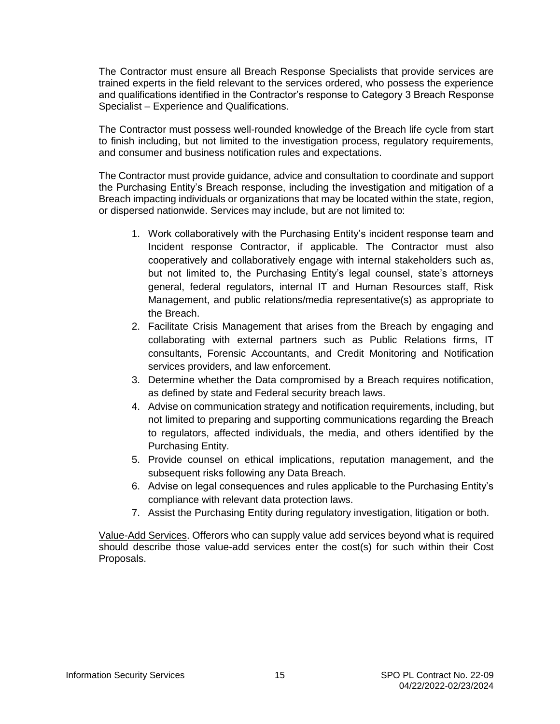<span id="page-14-0"></span>The Contractor must ensure all Breach Response Specialists that provide services are trained experts in the field relevant to the services ordered, who possess the experience and qualifications identified in the Contractor's response to Category 3 Breach Response Specialist – Experience and Qualifications.

The Contractor must possess well-rounded knowledge of the Breach life cycle from start to finish including, but not limited to the investigation process, regulatory requirements, and consumer and business notification rules and expectations.

The Contractor must provide guidance, advice and consultation to coordinate and support the Purchasing Entity's Breach response, including the investigation and mitigation of a Breach impacting individuals or organizations that may be located within the state, region, or dispersed nationwide. Services may include, but are not limited to:

- 1. Work collaboratively with the Purchasing Entity's incident response team and Incident response Contractor, if applicable. The Contractor must also cooperatively and collaboratively engage with internal stakeholders such as, but not limited to, the Purchasing Entity's legal counsel, state's attorneys general, federal regulators, internal IT and Human Resources staff, Risk Management, and public relations/media representative(s) as appropriate to the Breach.
- 2. Facilitate Crisis Management that arises from the Breach by engaging and collaborating with external partners such as Public Relations firms, IT consultants, Forensic Accountants, and Credit Monitoring and Notification services providers, and law enforcement.
- 3. Determine whether the Data compromised by a Breach requires notification, as defined by state and Federal security breach laws.
- 4. Advise on communication strategy and notification requirements, including, but not limited to preparing and supporting communications regarding the Breach to regulators, affected individuals, the media, and others identified by the Purchasing Entity.
- 5. Provide counsel on ethical implications, reputation management, and the subsequent risks following any Data Breach.
- 6. Advise on legal consequences and rules applicable to the Purchasing Entity's compliance with relevant data protection laws.
- 7. Assist the Purchasing Entity during regulatory investigation, litigation or both.

Value-Add Services. Offerors who can supply value add services beyond what is required should describe those value-add services enter the cost(s) for such within their Cost Proposals.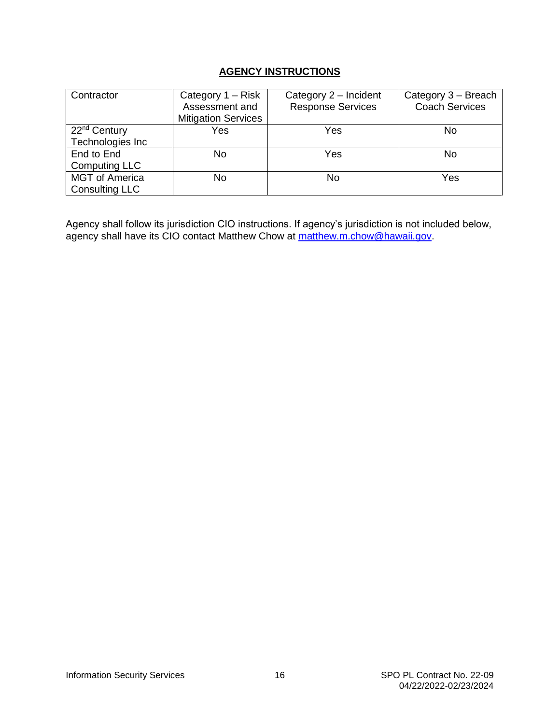#### **AGENCY INSTRUCTIONS**

| Contractor                                     | Category 1 – Risk<br>Assessment and<br><b>Mitigation Services</b> | Category 2 - Incident<br><b>Response Services</b> | Category 3 - Breach<br><b>Coach Services</b> |
|------------------------------------------------|-------------------------------------------------------------------|---------------------------------------------------|----------------------------------------------|
| 22 <sup>nd</sup> Century<br>Technologies Inc   | Yes                                                               | Yes                                               | No                                           |
| End to End<br><b>Computing LLC</b>             | No                                                                | Yes                                               | No                                           |
| <b>MGT</b> of America<br><b>Consulting LLC</b> | No                                                                | No                                                | Yes                                          |

Agency shall follow its jurisdiction CIO instructions. If agency's jurisdiction is not included below, agency shall have its CIO contact Matthew Chow at [matthew.m.chow@hawaii.gov.](mailto:matthew.m.chow@hawaii.gov)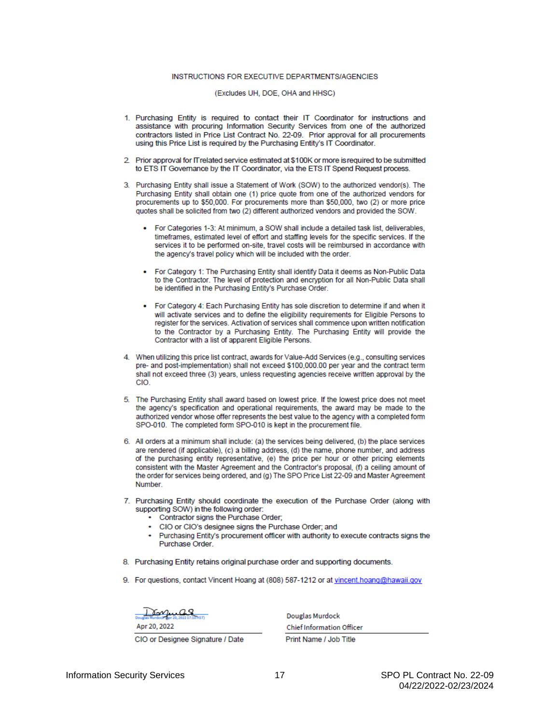#### INSTRUCTIONS FOR EXECUTIVE DEPARTMENTS/AGENCIES

(Excludes UH, DOE, OHA and HHSC)

- 1. Purchasing Entity is required to contact their IT Coordinator for instructions and assistance with procuring Information Security Services from one of the authorized contractors listed in Price List Contract No. 22-09. Prior approval for all procurements using this Price List is required by the Purchasing Entity's IT Coordinator.
- 2. Prior approval for IT related service estimated at \$100K or more is required to be submitted to ETS IT Governance by the IT Coordinator, via the ETS IT Spend Request process.
- 3. Purchasing Entity shall issue a Statement of Work (SOW) to the authorized vendor(s). The Purchasing Entity shall obtain one (1) price guote from one of the authorized vendors for procurements up to \$50,000. For procurements more than \$50,000, two (2) or more price quotes shall be solicited from two (2) different authorized vendors and provided the SOW.
	- For Categories 1-3: At minimum, a SOW shall include a detailed task list, deliverables, timeframes, estimated level of effort and staffing levels for the specific services. If the services it to be performed on-site, travel costs will be reimbursed in accordance with the agency's travel policy which will be included with the order.
	- . For Category 1: The Purchasing Entity shall identify Data it deems as Non-Public Data to the Contractor. The level of protection and encryption for all Non-Public Data shall be identified in the Purchasing Entity's Purchase Order.
	- For Category 4: Each Purchasing Entity has sole discretion to determine if and when it will activate services and to define the eligibility requirements for Eligible Persons to register for the services. Activation of services shall commence upon written notification to the Contractor by a Purchasing Entity. The Purchasing Entity will provide the Contractor with a list of apparent Eligible Persons.
- 4. When utilizing this price list contract, awards for Value-Add Services (e.g., consulting services pre- and post-implementation) shall not exceed \$100,000.00 per year and the contract term shall not exceed three (3) years, unless requesting agencies receive written approval by the CIO.
- 5. The Purchasing Entity shall award based on lowest price. If the lowest price does not meet the agency's specification and operational requirements, the award may be made to the authorized vendor whose offer represents the best value to the agency with a completed form SPO-010. The completed form SPO-010 is kept in the procurement file.
- 6. All orders at a minimum shall include: (a) the services being delivered, (b) the place services are rendered (if applicable), (c) a billing address, (d) the name, phone number, and address of the purchasing entity representative, (e) the price per hour or other pricing elements consistent with the Master Agreement and the Contractor's proposal, (f) a ceiling amount of the order for services being ordered, and (g) The SPO Price List 22-09 and Master Agreement Number
- 7. Purchasing Entity should coordinate the execution of the Purchase Order (along with supporting SOW) in the following order:
	- Contractor signs the Purchase Order;
	- CIO or CIO's designee signs the Purchase Order: and
	- Purchasing Entity's procurement officer with authority to execute contracts signs the Purchase Order.
- 8. Purchasing Entity retains original purchase order and supporting documents.
- 9. For questions, contact Vincent Hoang at (808) 587-1212 or at vincent.hoang@hawaii.gov

CIO or Designee Signature / Date

**Douglas Murdock Chief Information Officer** Print Name / Job Title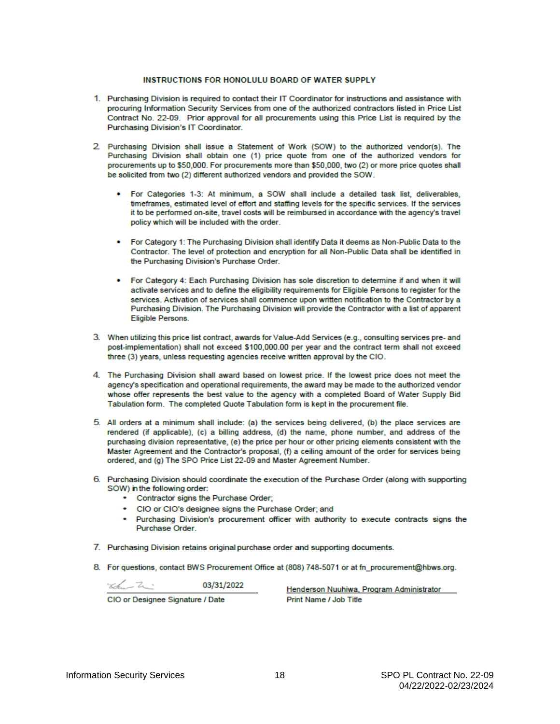#### **INSTRUCTIONS FOR HONOLULU BOARD OF WATER SUPPLY**

- 1. Purchasing Division is required to contact their IT Coordinator for instructions and assistance with procuring Information Security Services from one of the authorized contractors listed in Price List Contract No. 22-09. Prior approval for all procurements using this Price List is required by the Purchasing Division's IT Coordinator.
- 2. Purchasing Division shall issue a Statement of Work (SOW) to the authorized vendor(s). The Purchasing Division shall obtain one (1) price quote from one of the authorized vendors for procurements up to \$50,000. For procurements more than \$50,000, two (2) or more price quotes shall be solicited from two (2) different authorized vendors and provided the SOW.
	- For Categories 1-3: At minimum, a SOW shall include a detailed task list, deliverables, timeframes, estimated level of effort and staffing levels for the specific services. If the services it to be performed on-site, travel costs will be reimbursed in accordance with the agency's travel policy which will be included with the order.
	- For Category 1: The Purchasing Division shall identify Data it deems as Non-Public Data to the Contractor. The level of protection and encryption for all Non-Public Data shall be identified in the Purchasing Division's Purchase Order.
	- For Category 4: Each Purchasing Division has sole discretion to determine if and when it will activate services and to define the eligibility requirements for Eligible Persons to register for the services. Activation of services shall commence upon written notification to the Contractor by a Purchasing Division. The Purchasing Division will provide the Contractor with a list of apparent Eligible Persons.
- 3. When utilizing this price list contract, awards for Value-Add Services (e.g., consulting services pre- and post-implementation) shall not exceed \$100,000.00 per year and the contract term shall not exceed three (3) years, unless requesting agencies receive written approval by the CIO.
- 4. The Purchasing Division shall award based on lowest price. If the lowest price does not meet the agency's specification and operational requirements, the award may be made to the authorized vendor whose offer represents the best value to the agency with a completed Board of Water Supply Bid Tabulation form. The completed Quote Tabulation form is kept in the procurement file.
- 5. All orders at a minimum shall include: (a) the services being delivered, (b) the place services are rendered (if applicable), (c) a billing address, (d) the name, phone number, and address of the purchasing division representative, (e) the price per hour or other pricing elements consistent with the Master Agreement and the Contractor's proposal, (f) a ceiling amount of the order for services being ordered, and (g) The SPO Price List 22-09 and Master Agreement Number.
- 6. Purchasing Division should coordinate the execution of the Purchase Order (along with supporting SOW) in the following order:
	- Contractor signs the Purchase Order;
	- CIO or CIO's designee signs the Purchase Order; and
	- Purchasing Division's procurement officer with authority to execute contracts signs the Purchase Order.
- 7. Purchasing Division retains original purchase order and supporting documents.
- 8. For questions, contact BWS Procurement Office at (808) 748-5071 or at fn\_procurement@hbws.org.

 $\frac{1}{2}$   $\frac{1}{2}$   $\frac{1}{2}$   $\frac{1}{2}$   $\frac{1}{2}$   $\frac{1}{2}$   $\frac{1}{2}$   $\frac{1}{2}$   $\frac{1}{2}$   $\frac{1}{2}$   $\frac{1}{2}$   $\frac{1}{2}$   $\frac{1}{2}$   $\frac{1}{2}$   $\frac{1}{2}$   $\frac{1}{2}$   $\frac{1}{2}$   $\frac{1}{2}$   $\frac{1}{2}$   $\frac{1}{2}$   $\frac{1}{2}$   $\frac{1}{2}$ 

CIO or Designee Signature / Date

Henderson Nuuhiwa, Program Administrator Print Name / Job Title

**Information Security Services**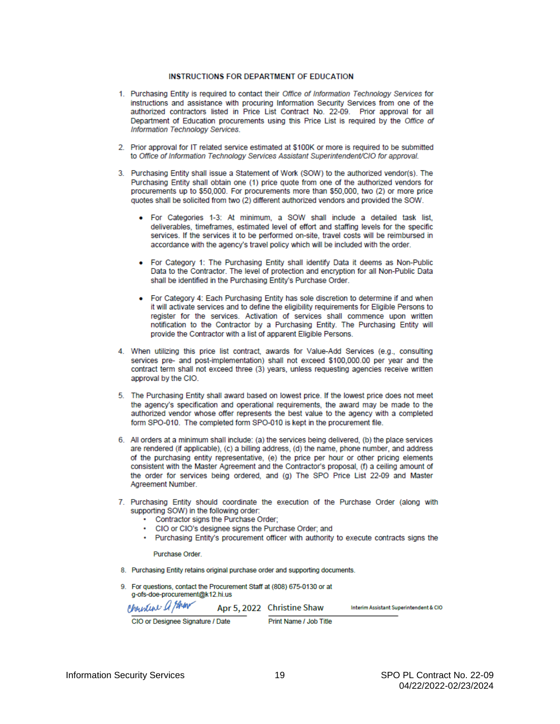#### **INSTRUCTIONS FOR DEPARTMENT OF EDUCATION**

- 1. Purchasing Entity is required to contact their Office of Information Technology Services for instructions and assistance with procuring Information Security Services from one of the authorized contractors listed in Price List Contract No. 22-09. Prior approval for all Department of Education procurements using this Price List is required by the Office of Information Technology Services.
- 2. Prior approval for IT related service estimated at \$100K or more is required to be submitted to Office of Information Technology Services Assistant Superintendent/CIO for approval.
- 3. Purchasing Entity shall issue a Statement of Work (SOW) to the authorized vendor(s). The Purchasing Entity shall obtain one (1) price quote from one of the authorized vendors for procurements up to \$50,000. For procurements more than \$50,000, two (2) or more price quotes shall be solicited from two (2) different authorized vendors and provided the SOW.
	- . For Categories 1-3: At minimum, a SOW shall include a detailed task list, deliverables, timeframes, estimated level of effort and staffing levels for the specific services. If the services it to be performed on-site, travel costs will be reimbursed in accordance with the agency's travel policy which will be included with the order.
	- . For Category 1: The Purchasing Entity shall identify Data it deems as Non-Public Data to the Contractor. The level of protection and encryption for all Non-Public Data shall be identified in the Purchasing Entity's Purchase Order.
	- For Category 4: Each Purchasing Entity has sole discretion to determine if and when it will activate services and to define the eligibility requirements for Eligible Persons to register for the services. Activation of services shall commence upon written notification to the Contractor by a Purchasing Entity. The Purchasing Entity will provide the Contractor with a list of apparent Eligible Persons.
- 4. When utilizing this price list contract, awards for Value-Add Services (e.g., consulting services pre- and post-implementation) shall not exceed \$100,000,00 per year and the contract term shall not exceed three (3) years, unless requesting agencies receive written approval by the CIO.
- 5. The Purchasing Entity shall award based on lowest price. If the lowest price does not meet the agency's specification and operational requirements, the award may be made to the authorized vendor whose offer represents the best value to the agency with a completed form SPO-010. The completed form SPO-010 is kept in the procurement file.
- 6. All orders at a minimum shall include: (a) the services being delivered. (b) the place services are rendered (if applicable), (c) a billing address, (d) the name, phone number, and address of the purchasing entity representative, (e) the price per hour or other pricing elements consistent with the Master Agreement and the Contractor's proposal, (f) a ceiling amount of the order for services being ordered, and (g) The SPO Price List 22-09 and Master Agreement Number.
- 7. Purchasing Entity should coordinate the execution of the Purchase Order (along with supporting SOW) in the following order:
	- . Contractor signs the Purchase Order;
	- CIO or CIO's designee signs the Purchase Order; and
	- . Purchasing Entity's procurement officer with authority to execute contracts signs the

**Purchase Order** 

- 8. Purchasing Entity retains original purchase order and supporting documents.
- 9. For questions, contact the Procurement Staff at (808) 675-0130 or at g-ofs-doe-procurement@k12.hi.us Cheister a your Apr 5, 2022 Christine Shaw Interim Assistant Superintendent & CIO

CIO or Designee Signature / Date

Print Name / Job Title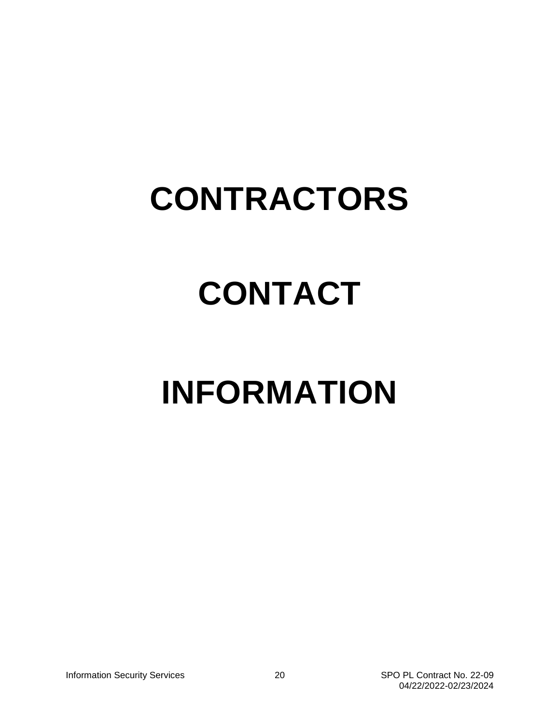### **CONTRACTORS**

## **CONTACT**

# **INFORMATION**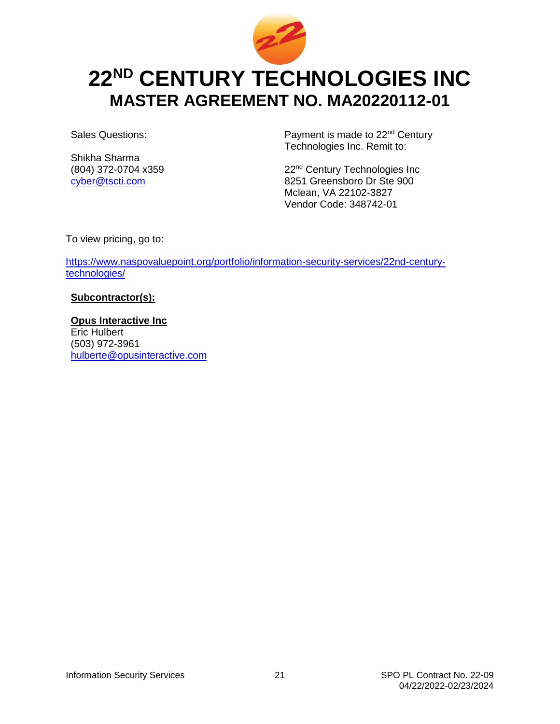

### <span id="page-20-0"></span>**22ND CENTURY TECHNOLOGIES INC MASTER AGREEMENT NO. MA20220112-01**

Sales Questions:

Shikha Sharma (804) 372-0704 x359 [cyber@tscti.com](mailto:cyber@tscti.com)

Payment is made to 22<sup>nd</sup> Century Technologies Inc. Remit to:

22<sup>nd</sup> Century Technologies Inc 8251 Greensboro Dr Ste 900 Mclean, VA 22102-3827 Vendor Code: 348742-01

To view pricing, go to:

[https://www.naspovaluepoint.org/portfolio/information-security-services/22nd-century](https://www.naspovaluepoint.org/portfolio/information-security-services/22nd-century-technologies/)[technologies/](https://www.naspovaluepoint.org/portfolio/information-security-services/22nd-century-technologies/)

#### **Subcontractor(s):**

**Opus Interactive Inc** Eric Hulbert (503) 972-3961 [hulberte@opusinteractive.com](mailto:hulberte@opusinteractive.com)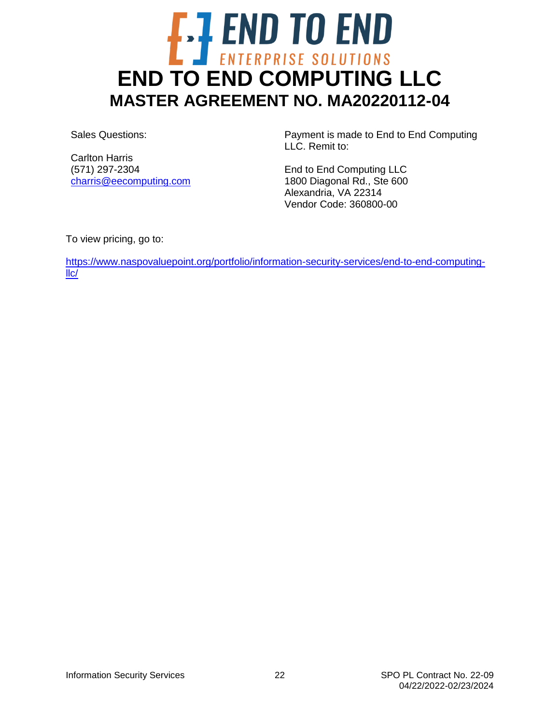# <span id="page-21-0"></span>**END TO END**<br>END TO END COMPUTING LLC **MASTER AGREEMENT NO. MA20220112-04**

Sales Questions:

Carlton Harris (571) 297-2304 [charris@eecomputing.com](mailto:charris@eecomputing.com)

Payment is made to End to End Computing LLC. Remit to:

End to End Computing LLC 1800 Diagonal Rd., Ste 600 Alexandria, VA 22314 Vendor Code: 360800-00

To view pricing, go to:

[https://www.naspovaluepoint.org/portfolio/information-security-services/end-to-end-computing](https://www.naspovaluepoint.org/portfolio/information-security-services/end-to-end-computing-llc/)[llc/](https://www.naspovaluepoint.org/portfolio/information-security-services/end-to-end-computing-llc/)